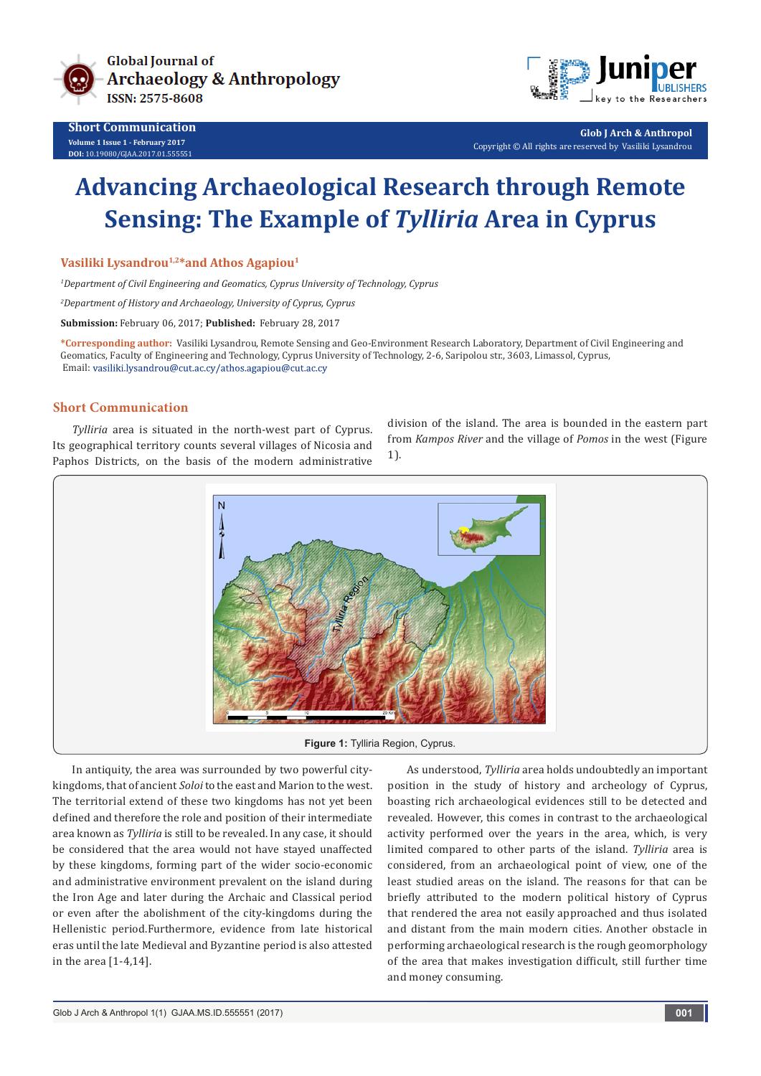



**Glob J Arch & Anthropol** Copyright © All rights are reserved by Vasiliki Lysandrou

# **Advancing Archaeological Research through Remote Sensing: The Example of** *Tylliria* **Area in Cyprus**

Vasiliki Lysandrou<sup>1,2\*</sup>and Athos Agapiou<sup>1</sup>

*1 Department of Civil Engineering and Geomatics, Cyprus University of Technology, Cyprus*

*2 Department of History and Archaeology, University of Cyprus, Cyprus*

**Submission:** February 06, 2017; **Published:** February 28, 2017

**\*Corresponding author:** Vasiliki Lysandrou, Remote Sensing and Geo-Environment Research Laboratory, Department of Civil Engineering and Geomatics, Faculty of Engineering and Technology, Cyprus University of Technology, 2-6, Saripolou str., 3603, Limassol, Cyprus, Email: vasiliki.lysandrou@cut.ac.cy/athos.agapiou@cut.ac.cy

### **Short Communication**

*Tylliria* area is situated in the north-west part of Cyprus. Its geographical territory counts several villages of Nicosia and Paphos Districts, on the basis of the modern administrative division of the island. The area is bounded in the eastern part from *Kampos River* and the village of *Pomos* in the west (Figure 1).



In antiquity, the area was surrounded by two powerful citykingdoms, that of ancient *Soloi* to the east and Marion to the west. The territorial extend of these two kingdoms has not yet been defined and therefore the role and position of their intermediate area known as *Tylliria* is still to be revealed. In any case, it should be considered that the area would not have stayed unaffected by these kingdoms, forming part of the wider socio-economic and administrative environment prevalent on the island during the Iron Age and later during the Archaic and Classical period or even after the abolishment of the city-kingdoms during the Hellenistic period.Furthermore, evidence from late historical eras until the late Medieval and Byzantine period is also attested in the area [1-4,14].

As understood, *Tylliria* area holds undoubtedly an important position in the study of history and archeology of Cyprus, boasting rich archaeological evidences still to be detected and revealed. However, this comes in contrast to the archaeological activity performed over the years in the area, which, is very limited compared to other parts of the island. *Tylliria* area is considered, from an archaeological point of view, one of the least studied areas on the island. The reasons for that can be briefly attributed to the modern political history of Cyprus that rendered the area not easily approached and thus isolated and distant from the main modern cities. Another obstacle in performing archaeological research is the rough geomorphology of the area that makes investigation difficult, still further time and money consuming.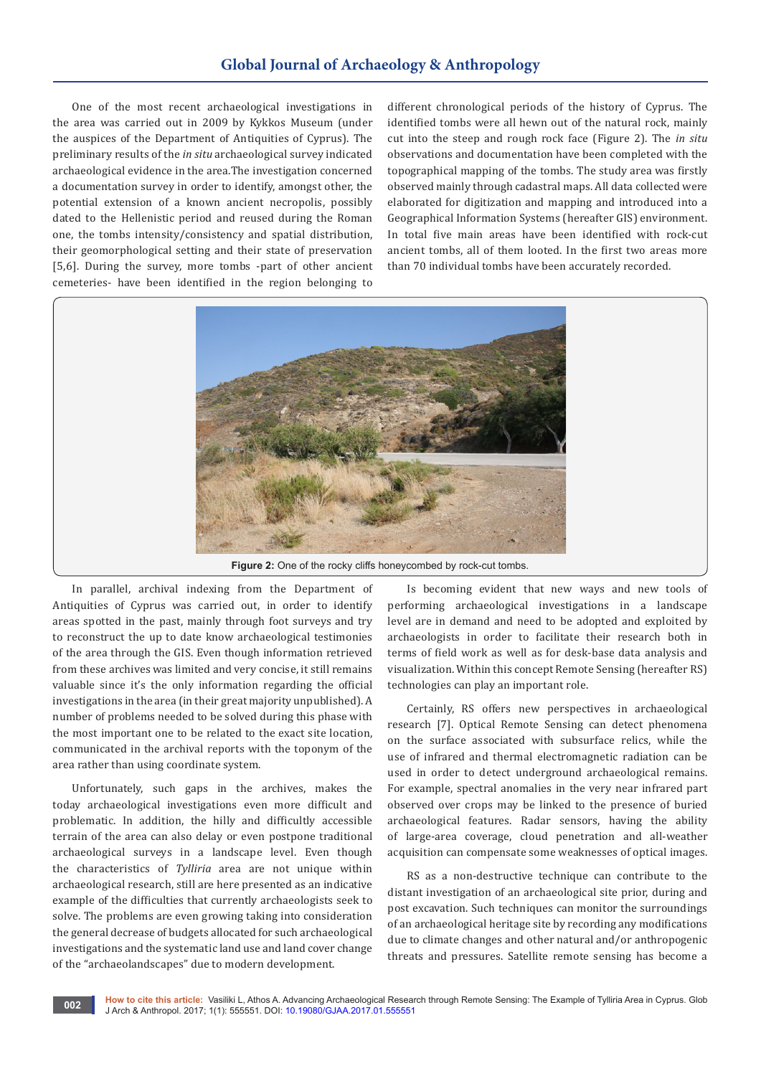## **Global Journal of Archaeology & Anthropology**

One of the most recent archaeological investigations in the area was carried out in 2009 by Kykkos Museum (under the auspices of the Department of Antiquities of Cyprus). The preliminary results of the *in situ* archaeological survey indicated archaeological evidence in the area.The investigation concerned a documentation survey in order to identify, amongst other, the potential extension of a known ancient necropolis, possibly dated to the Hellenistic period and reused during the Roman one, the tombs intensity/consistency and spatial distribution, their geomorphological setting and their state of preservation [5,6]. During the survey, more tombs -part of other ancient cemeteries- have been identified in the region belonging to

different chronological periods of the history of Cyprus. The identified tombs were all hewn out of the natural rock, mainly cut into the steep and rough rock face (Figure 2). The *in situ* observations and documentation have been completed with the topographical mapping of the tombs. The study area was firstly observed mainly through cadastral maps. All data collected were elaborated for digitization and mapping and introduced into a Geographical Information Systems (hereafter GIS) environment. In total five main areas have been identified with rock-cut ancient tombs, all of them looted. In the first two areas more than 70 individual tombs have been accurately recorded.



Figure 2: One of the rocky cliffs honeycombed by rock-cut tombs.

In parallel, archival indexing from the Department of Antiquities of Cyprus was carried out, in order to identify areas spotted in the past, mainly through foot surveys and try to reconstruct the up to date know archaeological testimonies of the area through the GIS. Even though information retrieved from these archives was limited and very concise, it still remains valuable since it's the only information regarding the official investigations in the area (in their great majority unpublished). A number of problems needed to be solved during this phase with the most important one to be related to the exact site location, communicated in the archival reports with the toponym of the area rather than using coordinate system.

Unfortunately, such gaps in the archives, makes the today archaeological investigations even more difficult and problematic. In addition, the hilly and difficultly accessible terrain of the area can also delay or even postpone traditional archaeological surveys in a landscape level. Even though the characteristics of *Tylliria* area are not unique within archaeological research, still are here presented as an indicative example of the difficulties that currently archaeologists seek to solve. The problems are even growing taking into consideration the general decrease of budgets allocated for such archaeological investigations and the systematic land use and land cover change of the "archaeolandscapes" due to modern development.

Is becoming evident that new ways and new tools of performing archaeological investigations in a landscape level are in demand and need to be adopted and exploited by archaeologists in order to facilitate their research both in terms of field work as well as for desk-base data analysis and visualization. Within this concept Remote Sensing (hereafter RS) technologies can play an important role.

Certainly, RS offers new perspectives in archaeological research [7]. Optical Remote Sensing can detect phenomena on the surface associated with subsurface relics, while the use of infrared and thermal electromagnetic radiation can be used in order to detect underground archaeological remains. For example, spectral anomalies in the very near infrared part observed over crops may be linked to the presence of buried archaeological features. Radar sensors, having the ability of large-area coverage, cloud penetration and all-weather acquisition can compensate some weaknesses of optical images.

RS as a non-destructive technique can contribute to the distant investigation of an archaeological site prior, during and post excavation. Such techniques can monitor the surroundings of an archaeological heritage site by recording any modifications due to climate changes and other natural and/or anthropogenic threats and pressures. Satellite remote sensing has become a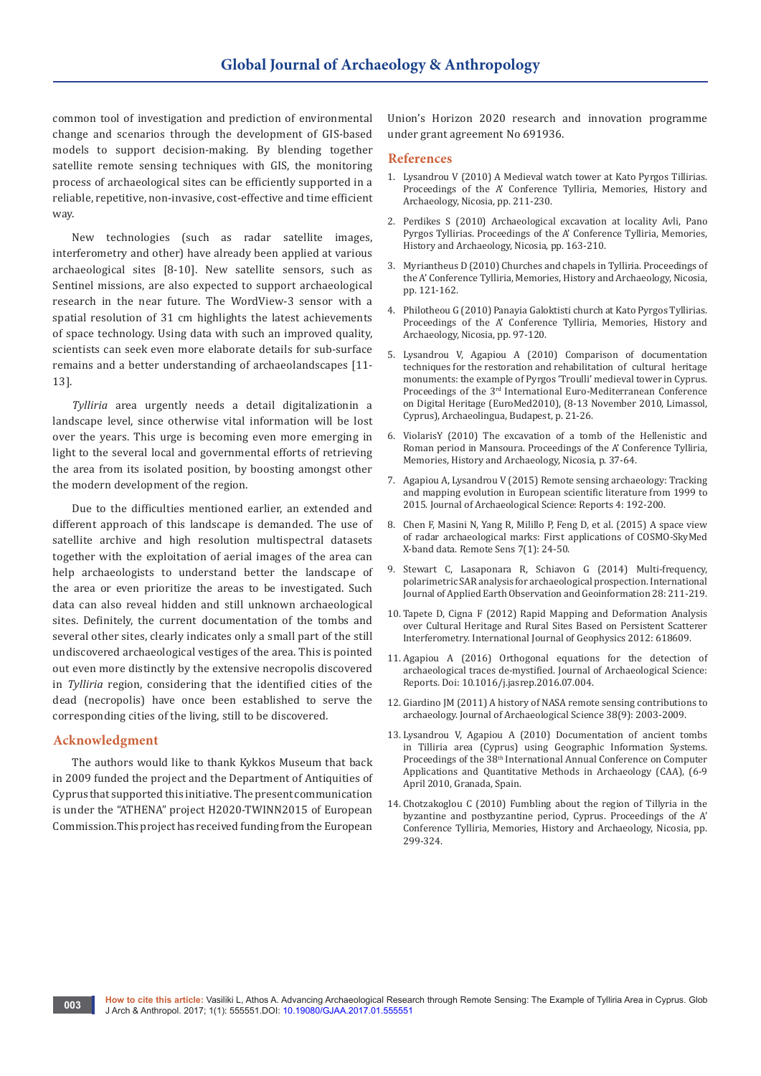common tool of investigation and prediction of environmental change and scenarios through the development of GIS-based models to support decision-making. By blending together satellite remote sensing techniques with GIS, the monitoring process of archaeological sites can be efficiently supported in a reliable, repetitive, non-invasive, cost-effective and time efficient way.

New technologies (such as radar satellite images, interferometry and other) have already been applied at various archaeological sites [8-10]. New satellite sensors, such as Sentinel missions, are also expected to support archaeological research in the near future. The WordView-3 sensor with a spatial resolution of 31 cm highlights the latest achievements of space technology. Using data with such an improved quality, scientists can seek even more elaborate details for sub-surface remains and a better understanding of archaeolandscapes [11- 13].

*Tylliria* area urgently needs a detail digitalizationin a landscape level, since otherwise vital information will be lost over the years. This urge is becoming even more emerging in light to the several local and governmental efforts of retrieving the area from its isolated position, by boosting amongst other the modern development of the region.

Due to the difficulties mentioned earlier, an extended and different approach of this landscape is demanded. The use of satellite archive and high resolution multispectral datasets together with the exploitation of aerial images of the area can help archaeologists to understand better the landscape of the area or even prioritize the areas to be investigated. Such data can also reveal hidden and still unknown archaeological sites. Definitely, the current documentation of the tombs and several other sites, clearly indicates only a small part of the still undiscovered archaeological vestiges of the area. This is pointed out even more distinctly by the extensive necropolis discovered in *Tylliria* region, considering that the identified cities of the dead (necropolis) have once been established to serve the corresponding cities of the living, still to be discovered.

#### **Acknowledgment**

The authors would like to thank Kykkos Museum that back in 2009 funded the project and the Department of Antiquities of Cyprus that supported this initiative. The present communication is under the "ATHENA" project H2020-TWINN2015 of European Commission.This project has received funding from the European

Union's Horizon 2020 research and innovation programme under grant agreement No 691936.

#### **References**

- 1. Lysandrou V (2010) A Medieval watch tower at Kato Pyrgos Tillirias. Proceedings of the A' Conference Tylliria, Memories, History and Archaeology, Nicosia, pp. 211-230.
- 2. Perdikes S (2010) Archaeological excavation at locality Avli, Pano Pyrgos Tyllirias. Proceedings of the A' Conference Tylliria, Memories, History and Archaeology, Nicosia, pp. 163-210.
- 3. Myriantheus D (2010) Churches and chapels in Tylliria. Proceedings of the A' Conference Tylliria, Memories, History and Archaeology, Nicosia, pp. 121-162.
- 4. Philotheou G (2010) Panayia Galoktisti church at Kato Pyrgos Tyllirias. Proceedings of the A' Conference Tylliria, Memories, History and Archaeology, Nicosia, pp. 97-120.
- 5. Lysandrou V, Agapiou A (2010) Comparison of documentation techniques for the restoration and rehabilitation of cultural heritage monuments: the example of Pyrgos 'Troulli' medieval tower in Cyprus. Proceedings of the 3<sup>rd</sup> International Euro-Mediterranean Conference on Digital Heritage (EuroMed2010), (8-13 November 2010, Limassol, Cyprus), Archaeolingua, Budapest, p. 21-26.
- 6. ViolarisY (2010) The excavation of a tomb of the Hellenistic and Roman period in Mansoura. Proceedings of the A' Conference Tylliria, Memories, History and Archaeology, Nicosia, p. 37-64.
- 7. [Agapiou A, Lysandrou V \(2015\) Remote sensing archaeology: Tracking](http://www.sciencedirect.com/science/article/pii/S2352409X15301139)  [and mapping evolution in European scientific literature from 1999 to](http://www.sciencedirect.com/science/article/pii/S2352409X15301139)  [2015. Journal of Archaeological Science: Reports 4: 192-200.](http://www.sciencedirect.com/science/article/pii/S2352409X15301139)
- 8. [Chen F, Masini N, Yang R, Milillo P, Feng D, et al. \(2015\) A space view](http://www.mdpi.com/2072-4292/7/1/24)  [of radar archaeological marks: First applications of COSMO-SkyMed](http://www.mdpi.com/2072-4292/7/1/24)  [X-band data. Remote Sens 7\(1\): 24-50.](http://www.mdpi.com/2072-4292/7/1/24)
- 9. [Stewart C, Lasaponara R, Schiavon G \(2014\) Multi-frequency,](http://www.sciencedirect.com/science/article/pii/S0303243413001542)  [polarimetric SAR analysis for archaeological prospection. International](http://www.sciencedirect.com/science/article/pii/S0303243413001542)  [Journal of Applied Earth Observation and Geoinformation 28: 211-219.](http://www.sciencedirect.com/science/article/pii/S0303243413001542)
- 10. [Tapete D, Cigna F \(2012\) Rapid Mapping and Deformation Analysis](https://www.hindawi.com/journals/ijge/2012/618609/)  [over Cultural Heritage and Rural Sites Based on Persistent Scatterer](https://www.hindawi.com/journals/ijge/2012/618609/)  [Interferometry. International Journal of Geophysics 2012: 618609.](https://www.hindawi.com/journals/ijge/2012/618609/)
- 11. [Agapiou A \(2016\) Orthogonal equations for the detection of](http://www.sciencedirect.com/science/article/pii/S2352409X16303546)  [archaeological traces de-mystified. Journal of Archaeological Science:](http://www.sciencedirect.com/science/article/pii/S2352409X16303546)  [Reports. Doi: 10.1016/j.jasrep.2016.07.004.](http://www.sciencedirect.com/science/article/pii/S2352409X16303546)
- 12. [Giardino JM \(2011\) A history of NASA remote sensing contributions to](http://www.sciencedirect.com/science/article/pii/S0305440310003274)  [archaeology. Journal of Archaeological Science 38\(9\): 2003-2009.](http://www.sciencedirect.com/science/article/pii/S0305440310003274)
- 13. Lysandrou V, Agapiou A (2010) Documentation of ancient tombs in Tilliria area (Cyprus) using Geographic Information Systems. Proceedings of the 38<sup>th</sup> International Annual Conference on Computer Applications and Quantitative Methods in Archaeology (CAA), (6-9 April 2010, Granada, Spain.
- 14. Chotzakoglou C (2010) Fumbling about the region of Tillyria in the byzantine and postbyzantine period, Cyprus. Proceedings of the A' Conference Tylliria, Memories, History and Archaeology, Nicosia, pp. 299-324.